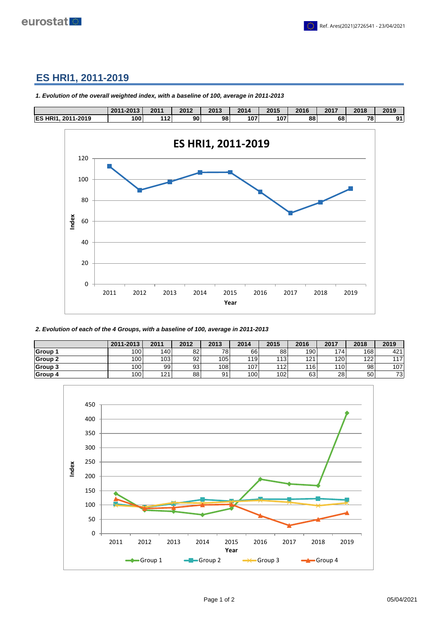

## **ES HRI1, 2011-2019**



*1. Evolution of the overall weighted index, with a baseline of 100, average in 2011-2013*

*2. Evolution of each of the 4 Groups, with a baseline of 100, average in 2011-2013*

|                | 2011-2013 | 2011 | 2012 | 2013 | 2014 | 2015 | 2016 | 2017 | 2018            | 2019 |
|----------------|-----------|------|------|------|------|------|------|------|-----------------|------|
| <b>Group 1</b> | 100l      | 140  | 82   | 781  | 66   | 88   | 190  | 174  | 168             | 421  |
| <b>Group 2</b> | 100l      | 103  | 92   | 105  | 119  | 113  | 121  | 120  | 122             | 117  |
| Group 3        | 100l      | 99   | 93   | 108  | 107  | 112  | 116  | 110  | 98 <sub>1</sub> | 107  |
| <b>Group 4</b> | 100l      | 121  | 88   | 91   | 100  | 102  | 63   | 28   | 50 <sub>1</sub> | 73   |